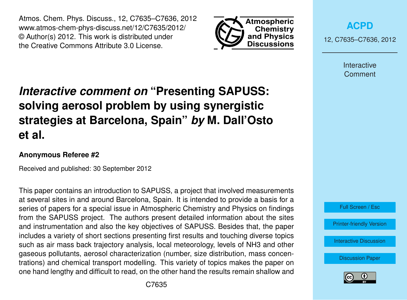Atmos. Chem. Phys. Discuss., 12, C7635–C7636, 2012 www.atmos-chem-phys-discuss.net/12/C7635/2012/ © Author(s) 2012. This work is distributed under the Creative Commons Attribute 3.0 License.



**[ACPD](http://www.atmos-chem-phys-discuss.net)**

12, C7635–C7636, 2012

Interactive Comment

## *Interactive comment on* **"Presenting SAPUSS: solving aerosol problem by using synergistic strategies at Barcelona, Spain"** *by* **M. Dall'Osto et al.**

## **Anonymous Referee #2**

Received and published: 30 September 2012

This paper contains an introduction to SAPUSS, a project that involved measurements at several sites in and around Barcelona, Spain. It is intended to provide a basis for a series of papers for a special issue in Atmospheric Chemistry and Physics on findings from the SAPUSS project. The authors present detailed information about the sites and instrumentation and also the key objectives of SAPUSS. Besides that, the paper includes a variety of short sections presenting first results and touching diverse topics such as air mass back trajectory analysis, local meteorology, levels of NH3 and other gaseous pollutants, aerosol characterization (number, size distribution, mass concentrations) and chemical transport modelling. This variety of topics makes the paper on one hand lengthy and difficult to read, on the other hand the results remain shallow and